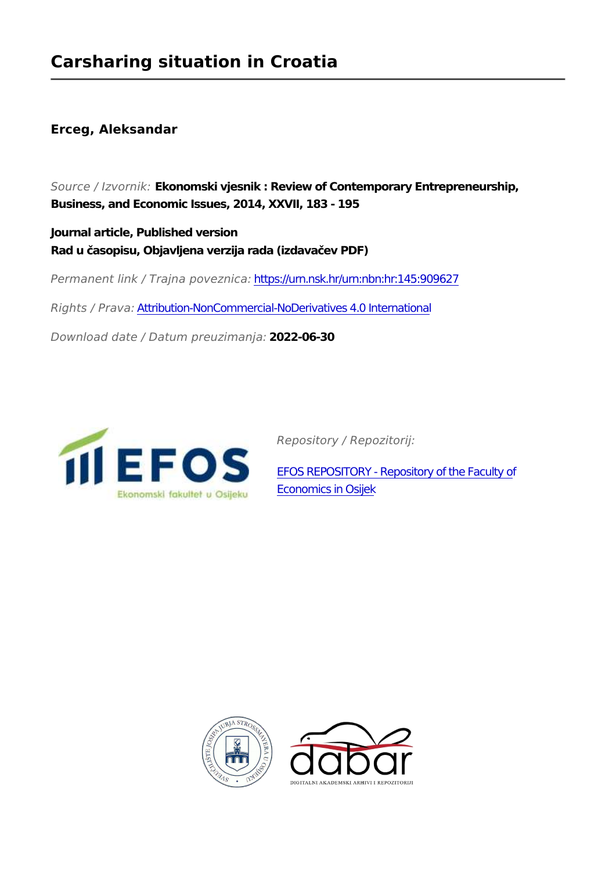## **Erceg, Aleksandar**

*Source / Izvornik:* **Ekonomski vjesnik : Review of Contemporary Entrepreneurship, Business, and Economic Issues, 2014, XXVII, 183 - 195**

**Journal article, Published version Rad u časopisu, Objavljena verzija rada (izdavačev PDF)**

*Permanent link / Trajna poveznica:* <https://urn.nsk.hr/urn:nbn:hr:145:909627>

*Rights / Prava:* [Attribution-NonCommercial-NoDerivatives 4.0 International](http://creativecommons.org/licenses/by-nc-nd/4.0/)

*Download date / Datum preuzimanja:* **2022-06-30**



*Repository / Repozitorij:*

[EFOS REPOSITORY - Repository of the Faculty o](https://repozitorij.efos.hr)f [Economics in Osijek](https://repozitorij.efos.hr)



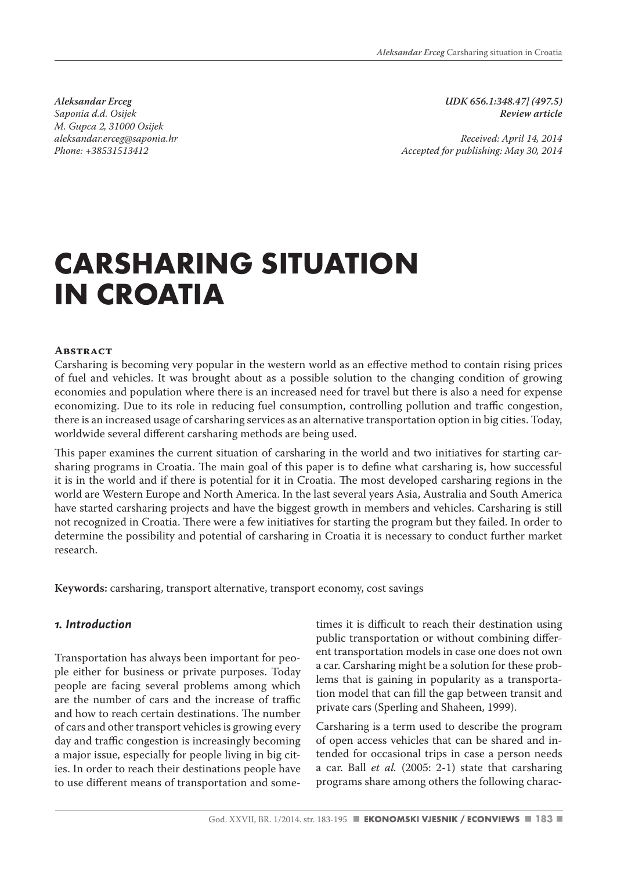*Aleksandar Erceg Saponia d.d. Osijek M. Gupca 2, 31000 Osijek aleksandar.erceg@saponia.hr Phone: +38531513412*

*UDK 656.1:348.47] (497.5) Review article*

*Received: April 14, 2014 Accepted for publishing: May 30, 2014*

# **CARSHARING SITUATION IN CROATIA**

#### **ABSTRACT**

Carsharing is becoming very popular in the western world as an effective method to contain rising prices of fuel and vehicles. It was brought about as a possible solution to the changing condition of growing economies and population where there is an increased need for travel but there is also a need for expense economizing. Due to its role in reducing fuel consumption, controlling pollution and traffic congestion, there is an increased usage of carsharing services as an alternative transportation option in big cities. Today, worldwide several different carsharing methods are being used.

This paper examines the current situation of carsharing in the world and two initiatives for starting carsharing programs in Croatia. The main goal of this paper is to define what carsharing is, how successful it is in the world and if there is potential for it in Croatia. The most developed carsharing regions in the world are Western Europe and North America. In the last several years Asia, Australia and South America have started carsharing projects and have the biggest growth in members and vehicles. Carsharing is still not recognized in Croatia. There were a few initiatives for starting the program but they failed. In order to determine the possibility and potential of carsharing in Croatia it is necessary to conduct further market research.

**Keywords:** carsharing, transport alternative, transport economy, cost savings

#### *1. Introduction*

Transportation has always been important for people either for business or private purposes. Today people are facing several problems among which are the number of cars and the increase of traffic and how to reach certain destinations. The number of cars and other transport vehicles is growing every day and traffic congestion is increasingly becoming a major issue, especially for people living in big cities. In order to reach their destinations people have to use different means of transportation and sometimes it is difficult to reach their destination using public transportation or without combining different transportation models in case one does not own a car. Carsharing might be a solution for these problems that is gaining in popularity as a transportation model that can fill the gap between transit and private cars (Sperling and Shaheen, 1999).

Carsharing is a term used to describe the program of open access vehicles that can be shared and intended for occasional trips in case a person needs a car. Ball *et al.* (2005: 2-1) state that carsharing programs share among others the following charac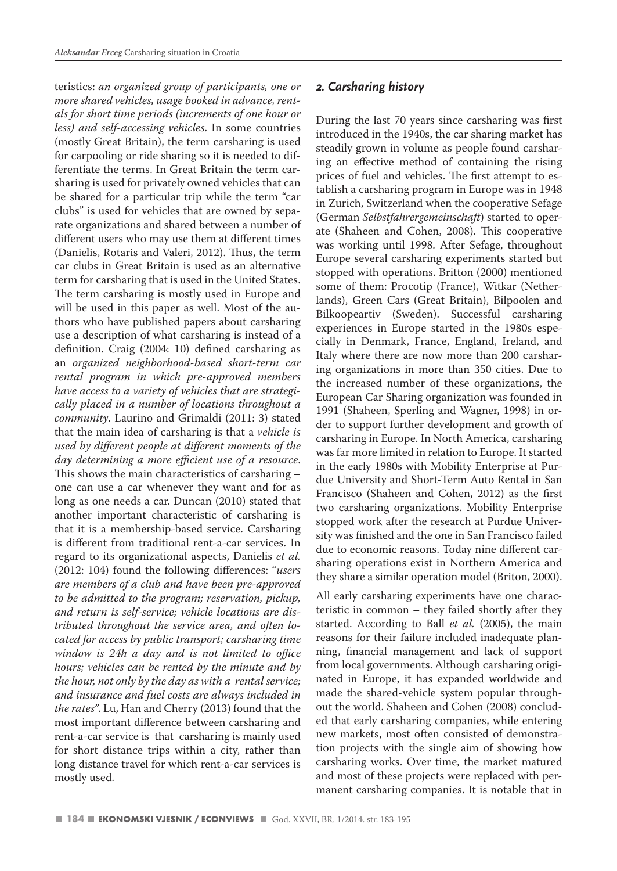teristics: *an organized group of participants, one or more shared vehicles, usage booked in advance, rentals for short time periods (increments of one hour or less) and self-accessing vehicles*. In some countries (mostly Great Britain), the term carsharing is used for carpooling or ride sharing so it is needed to differentiate the terms. In Great Britain the term carsharing is used for privately owned vehicles that can be shared for a particular trip while the term "car clubs" is used for vehicles that are owned by separate organizations and shared between a number of different users who may use them at different times (Danielis, Rotaris and Valeri, 2012). Thus, the term car clubs in Great Britain is used as an alternative term for carsharing that is used in the United States. The term carsharing is mostly used in Europe and will be used in this paper as well. Most of the authors who have published papers about carsharing use a description of what carsharing is instead of a definition. Craig (2004: 10) defined carsharing as an *organized neighborhood-based short-term car rental program in which pre-approved members have access to a variety of vehicles that are strategically placed in a number of locations throughout a community*. Laurino and Grimaldi (2011: 3) stated that the main idea of carsharing is that a *vehicle is used by different people at different moments of the day determining a more efficient use of a resource*. This shows the main characteristics of carsharing – one can use a car whenever they want and for as long as one needs a car. Duncan (2010) stated that another important characteristic of carsharing is that it is a membership-based service. Carsharing is different from traditional rent-a-car services. In regard to its organizational aspects, Danielis *et al.*  (2012: 104) found the following differences: "*users are members of a club and have been pre-approved to be admitted to the program; reservation, pickup, and return is self-service; vehicle locations are distributed throughout the service area, and often located for access by public transport; carsharing time window is 24h a day and is not limited to office hours; vehicles can be rented by the minute and by the hour, not only by the day as with a rental service; and insurance and fuel costs are always included in the rates"*. Lu, Han and Cherry (2013) found that the most important difference between carsharing and rent-a-car service is that carsharing is mainly used for short distance trips within a city, rather than long distance travel for which rent-a-car services is mostly used.

#### *2. Carsharing history*

During the last 70 years since carsharing was first introduced in the 1940s, the car sharing market has steadily grown in volume as people found carsharing an effective method of containing the rising prices of fuel and vehicles. The first attempt to establish a carsharing program in Europe was in 1948 in Zurich, Switzerland when the cooperative Sefage (German *Selbstfahrergemeinschaft*) started to operate (Shaheen and Cohen, 2008). This cooperative was working until 1998. After Sefage, throughout Europe several carsharing experiments started but stopped with operations. Britton (2000) mentioned some of them: Procotip (France), Witkar (Netherlands), Green Cars (Great Britain), Bilpoolen and Bilkoopeartiv (Sweden). Successful carsharing experiences in Europe started in the 1980s especially in Denmark, France, England, Ireland, and Italy where there are now more than 200 carsharing organizations in more than 350 cities. Due to the increased number of these organizations, the European Car Sharing organization was founded in 1991 (Shaheen, Sperling and Wagner, 1998) in order to support further development and growth of carsharing in Europe. In North America, carsharing was far more limited in relation to Europe. It started in the early 1980s with Mobility Enterprise at Purdue University and Short-Term Auto Rental in San Francisco (Shaheen and Cohen, 2012) as the first two carsharing organizations. Mobility Enterprise stopped work after the research at Purdue University was finished and the one in San Francisco failed due to economic reasons. Today nine different carsharing operations exist in Northern America and they share a similar operation model (Briton, 2000).

All early carsharing experiments have one characteristic in common – they failed shortly after they started. According to Ball *et al.* (2005), the main reasons for their failure included inadequate planning, financial management and lack of support from local governments. Although carsharing originated in Europe, it has expanded worldwide and made the shared-vehicle system popular throughout the world. Shaheen and Cohen (2008) concluded that early carsharing companies, while entering new markets, most often consisted of demonstration projects with the single aim of showing how carsharing works. Over time, the market matured and most of these projects were replaced with permanent carsharing companies. It is notable that in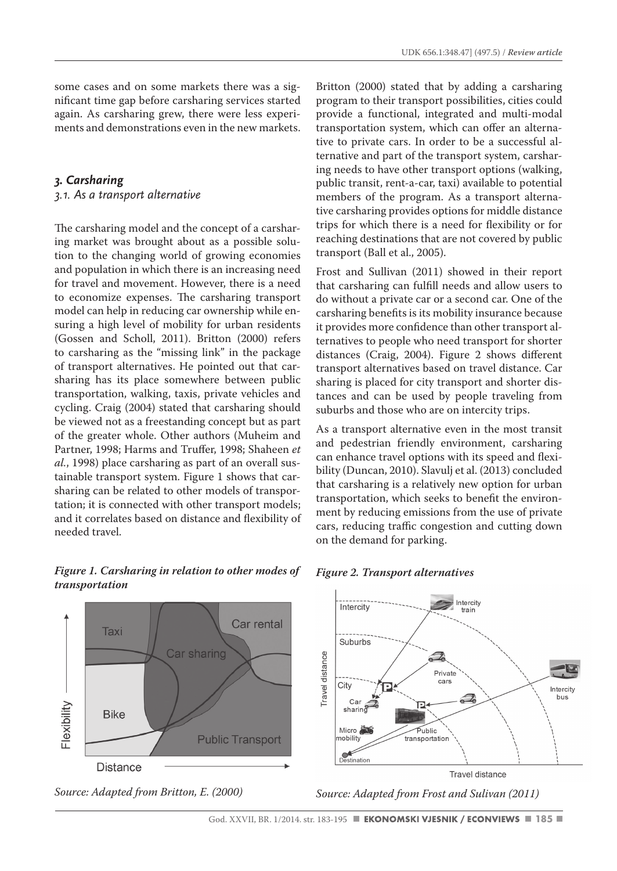some cases and on some markets there was a significant time gap before carsharing services started again. As carsharing grew, there were less experiments and demonstrations even in the new markets.

#### *3. Carsharing 3.1. As a transport alternative*

The carsharing model and the concept of a carsharing market was brought about as a possible solution to the changing world of growing economies and population in which there is an increasing need for travel and movement. However, there is a need to economize expenses. The carsharing transport model can help in reducing car ownership while ensuring a high level of mobility for urban residents (Gossen and Scholl, 2011). Britton (2000) refers to carsharing as the "missing link" in the package of transport alternatives. He pointed out that carsharing has its place somewhere between public transportation, walking, taxis, private vehicles and cycling. Craig (2004) stated that carsharing should be viewed not as a freestanding concept but as part of the greater whole. Other authors (Muheim and Partner, 1998; Harms and Truffer, 1998; Shaheen *et al.*, 1998) place carsharing as part of an overall sustainable transport system. Figure 1 shows that carsharing can be related to other models of transportation; it is connected with other transport models; and it correlates based on distance and flexibility of needed travel.

Britton (2000) stated that by adding a carsharing program to their transport possibilities, cities could provide a functional, integrated and multi-modal transportation system, which can offer an alternative to private cars. In order to be a successful alternative and part of the transport system, carsharing needs to have other transport options (walking, public transit, rent-a-car, taxi) available to potential members of the program. As a transport alternative carsharing provides options for middle distance trips for which there is a need for flexibility or for reaching destinations that are not covered by public transport (Ball et al., 2005).

Frost and Sullivan (2011) showed in their report that carsharing can fulfill needs and allow users to do without a private car or a second car. One of the carsharing benefits is its mobility insurance because it provides more confidence than other transport alternatives to people who need transport for shorter distances (Craig, 2004). Figure 2 shows different transport alternatives based on travel distance. Car sharing is placed for city transport and shorter distances and can be used by people traveling from suburbs and those who are on intercity trips.

As a transport alternative even in the most transit and pedestrian friendly environment, carsharing can enhance travel options with its speed and flexibility (Duncan, 2010). Slavulj et al. (2013) concluded that carsharing is a relatively new option for urban transportation, which seeks to benefit the environment by reducing emissions from the use of private cars, reducing traffic congestion and cutting down on the demand for parking.



*Figure 1. Carsharing in relation to other modes of transportation*







*Source: Adapted from Britton, E. (2000)*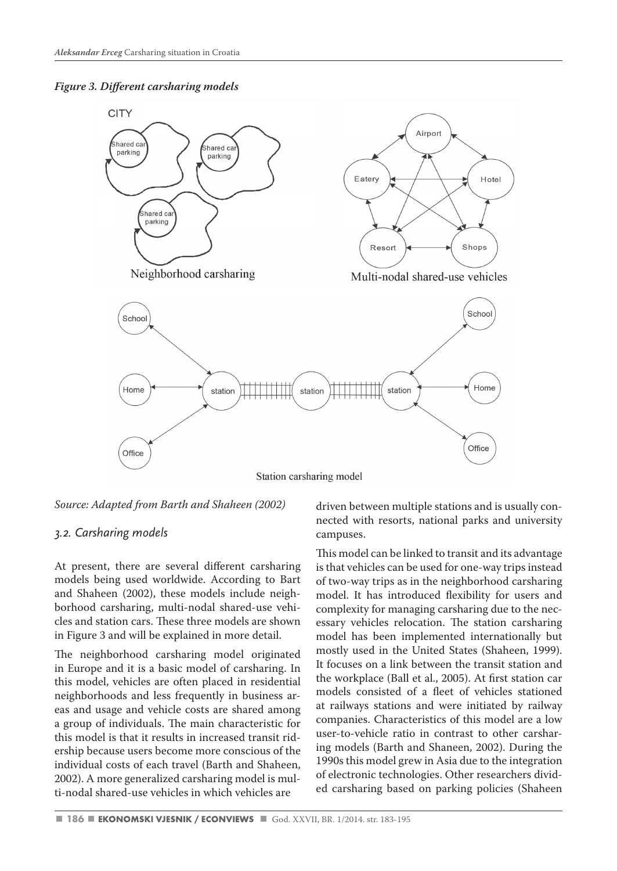



*Source: Adapted from Barth and Shaheen (2002)* 

#### *3.2. Carsharing models*

At present, there are several different carsharing models being used worldwide. According to Bart and Shaheen (2002), these models include neighborhood carsharing, multi-nodal shared-use vehicles and station cars. These three models are shown in Figure 3 and will be explained in more detail.

The neighborhood carsharing model originated in Europe and it is a basic model of carsharing. In this model, vehicles are often placed in residential neighborhoods and less frequently in business areas and usage and vehicle costs are shared among a group of individuals. The main characteristic for this model is that it results in increased transit ridership because users become more conscious of the individual costs of each travel (Barth and Shaheen, 2002). A more generalized carsharing model is multi-nodal shared-use vehicles in which vehicles are

driven between multiple stations and is usually connected with resorts, national parks and university campuses.

This model can be linked to transit and its advantage is that vehicles can be used for one-way trips instead of two-way trips as in the neighborhood carsharing model. It has introduced flexibility for users and complexity for managing carsharing due to the necessary vehicles relocation. The station carsharing model has been implemented internationally but mostly used in the United States (Shaheen, 1999). It focuses on a link between the transit station and the workplace (Ball et al., 2005). At first station car models consisted of a fleet of vehicles stationed at railways stations and were initiated by railway companies. Characteristics of this model are a low user-to-vehicle ratio in contrast to other carsharing models (Barth and Shaneen, 2002). During the 1990s this model grew in Asia due to the integration of electronic technologies. Other researchers divided carsharing based on parking policies (Shaheen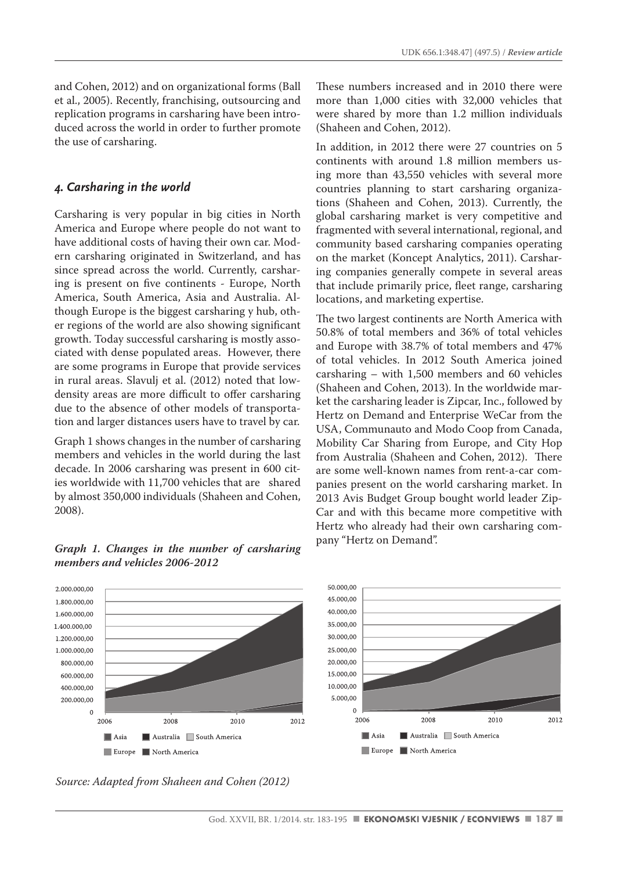and Cohen, 2012) and on organizational forms (Ball et al., 2005). Recently, franchising, outsourcing and replication programs in carsharing have been introduced across the world in order to further promote the use of carsharing.

#### *4. Carsharing in the world*

Carsharing is very popular in big cities in North America and Europe where people do not want to have additional costs of having their own car. Modern carsharing originated in Switzerland, and has since spread across the world. Currently, carsharing is present on five continents - Europe, North America, South America, Asia and Australia. Although Europe is the biggest carsharing y hub, other regions of the world are also showing significant growth. Today successful carsharing is mostly associated with dense populated areas. However, there are some programs in Europe that provide services in rural areas. Slavulj et al. (2012) noted that lowdensity areas are more difficult to offer carsharing due to the absence of other models of transportation and larger distances users have to travel by car.

Graph 1 shows changes in the number of carsharing members and vehicles in the world during the last decade. In 2006 carsharing was present in 600 cities worldwide with 11,700 vehicles that are shared by almost 350,000 individuals (Shaheen and Cohen, 2008).

#### *Graph 1. Changes in the number of carsharing members and vehicles 2006-2012*



These numbers increased and in 2010 there were more than 1,000 cities with 32,000 vehicles that were shared by more than 1.2 million individuals (Shaheen and Cohen, 2012).

In addition, in 2012 there were 27 countries on 5 continents with around 1.8 million members using more than 43,550 vehicles with several more countries planning to start carsharing organizations (Shaheen and Cohen, 2013). Currently, the global carsharing market is very competitive and fragmented with several international, regional, and community based carsharing companies operating on the market (Koncept Analytics, 2011). Carsharing companies generally compete in several areas that include primarily price, fleet range, carsharing locations, and marketing expertise.

The two largest continents are North America with 50.8% of total members and 36% of total vehicles and Europe with 38.7% of total members and 47% of total vehicles. In 2012 South America joined carsharing – with 1,500 members and 60 vehicles (Shaheen and Cohen, 2013). In the worldwide market the carsharing leader is Zipcar, Inc., followed by Hertz on Demand and Enterprise WeCar from the USA, Communauto and Modo Coop from Canada, Mobility Car Sharing from Europe, and City Hop from Australia (Shaheen and Cohen, 2012). There are some well-known names from rent-a-car companies present on the world carsharing market. In 2013 Avis Budget Group bought world leader Zip-Car and with this became more competitive with Hertz who already had their own carsharing company "Hertz on Demand".



*Source: Adapted from Shaheen and Cohen (2012)*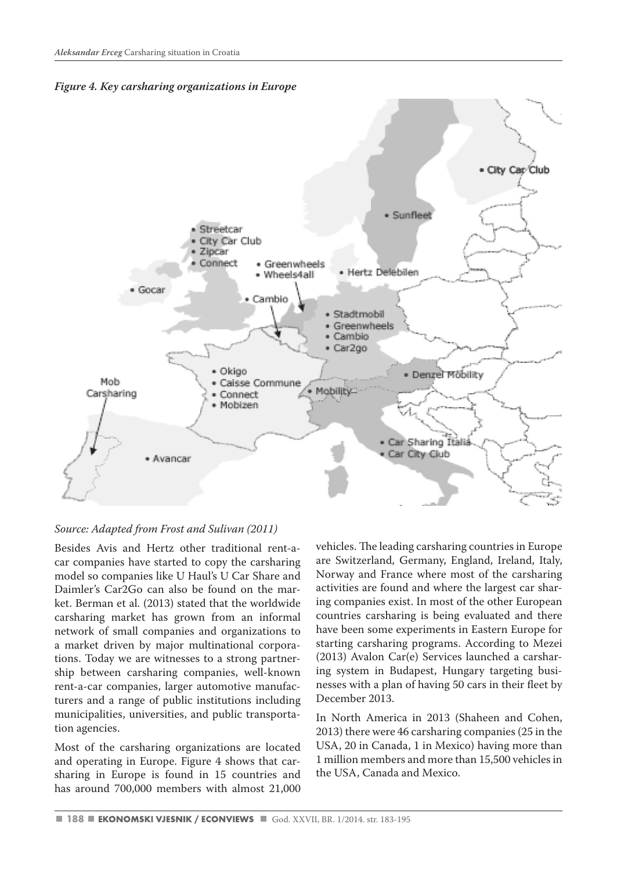



#### *Source: Adapted from Frost and Sulivan (2011)*

Besides Avis and Hertz other traditional rent-acar companies have started to copy the carsharing model so companies like U Haul's U Car Share and Daimler's Car2Go can also be found on the market. Berman et al. (2013) stated that the worldwide carsharing market has grown from an informal network of small companies and organizations to a market driven by major multinational corporations. Today we are witnesses to a strong partnership between carsharing companies, well-known rent-a-car companies, larger automotive manufacturers and a range of public institutions including municipalities, universities, and public transportation agencies.

Most of the carsharing organizations are located and operating in Europe. Figure 4 shows that carsharing in Europe is found in 15 countries and has around 700,000 members with almost 21,000

vehicles. The leading carsharing countries in Europe are Switzerland, Germany, England, Ireland, Italy, Norway and France where most of the carsharing activities are found and where the largest car sharing companies exist. In most of the other European countries carsharing is being evaluated and there have been some experiments in Eastern Europe for starting carsharing programs. According to Mezei (2013) Avalon Car(e) Services launched a carsharing system in Budapest, Hungary targeting businesses with a plan of having 50 cars in their fleet by December 2013.

In North America in 2013 (Shaheen and Cohen, 2013) there were 46 carsharing companies (25 in the USA, 20 in Canada, 1 in Mexico) having more than 1 million members and more than 15,500 vehicles in the USA, Canada and Mexico.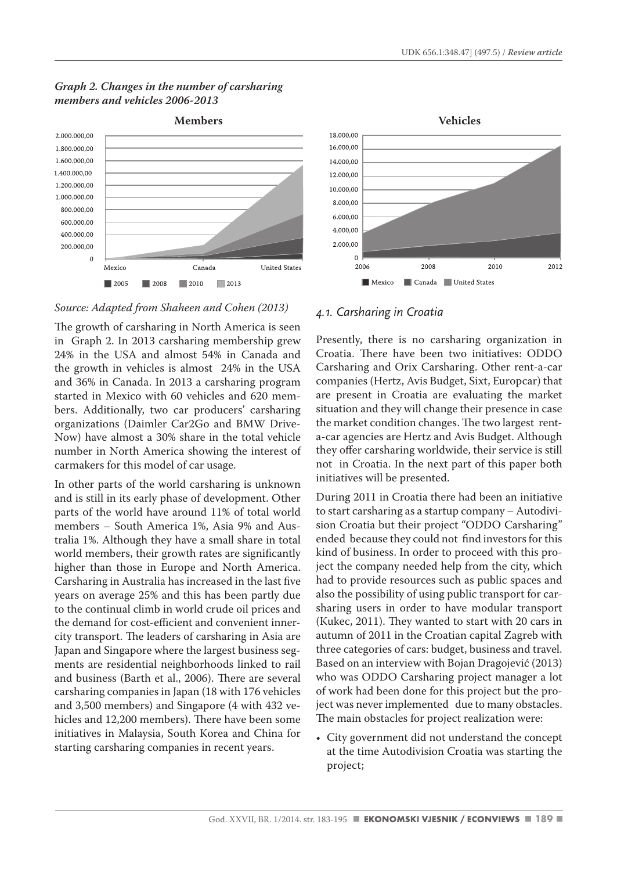





#### *Source: Adapted from Shaheen and Cohen (2013)*

The growth of carsharing in North America is seen in Graph 2. In 2013 carsharing membership grew 24% in the USA and almost 54% in Canada and the growth in vehicles is almost 24% in the USA and 36% in Canada. In 2013 a carsharing program started in Mexico with 60 vehicles and 620 members. Additionally, two car producers' carsharing organizations (Daimler Car2Go and BMW Drive-Now) have almost a 30% share in the total vehicle number in North America showing the interest of carmakers for this model of car usage.

In other parts of the world carsharing is unknown and is still in its early phase of development. Other parts of the world have around 11% of total world members – South America 1%, Asia 9% and Australia 1%. Although they have a small share in total world members, their growth rates are significantly higher than those in Europe and North America. Carsharing in Australia has increased in the last five years on average 25% and this has been partly due to the continual climb in world crude oil prices and the demand for cost-efficient and convenient innercity transport. The leaders of carsharing in Asia are Japan and Singapore where the largest business segments are residential neighborhoods linked to rail and business (Barth et al., 2006). There are several carsharing companies in Japan (18 with 176 vehicles and 3,500 members) and Singapore (4 with 432 vehicles and 12,200 members). There have been some initiatives in Malaysia, South Korea and China for starting carsharing companies in recent years.

#### *4.1. Carsharing in Croatia*

Presently, there is no carsharing organization in Croatia. There have been two initiatives: ODDO Carsharing and Orix Carsharing. Other rent-a-car companies (Hertz, Avis Budget, Sixt, Europcar) that are present in Croatia are evaluating the market situation and they will change their presence in case the market condition changes. The two largest renta-car agencies are Hertz and Avis Budget. Although they offer carsharing worldwide, their service is still not in Croatia. In the next part of this paper both initiatives will be presented.

During 2011 in Croatia there had been an initiative to start carsharing as a startup company – Autodivision Croatia but their project "ODDO Carsharing" ended because they could not find investors for this kind of business. In order to proceed with this project the company needed help from the city, which had to provide resources such as public spaces and also the possibility of using public transport for carsharing users in order to have modular transport (Kukec, 2011). They wanted to start with 20 cars in autumn of 2011 in the Croatian capital Zagreb with three categories of cars: budget, business and travel. Based on an interview with Bojan Dragojević (2013) who was ODDO Carsharing project manager a lot of work had been done for this project but the project was never implemented due to many obstacles. The main obstacles for project realization were:

• City government did not understand the concept at the time Autodivision Croatia was starting the project;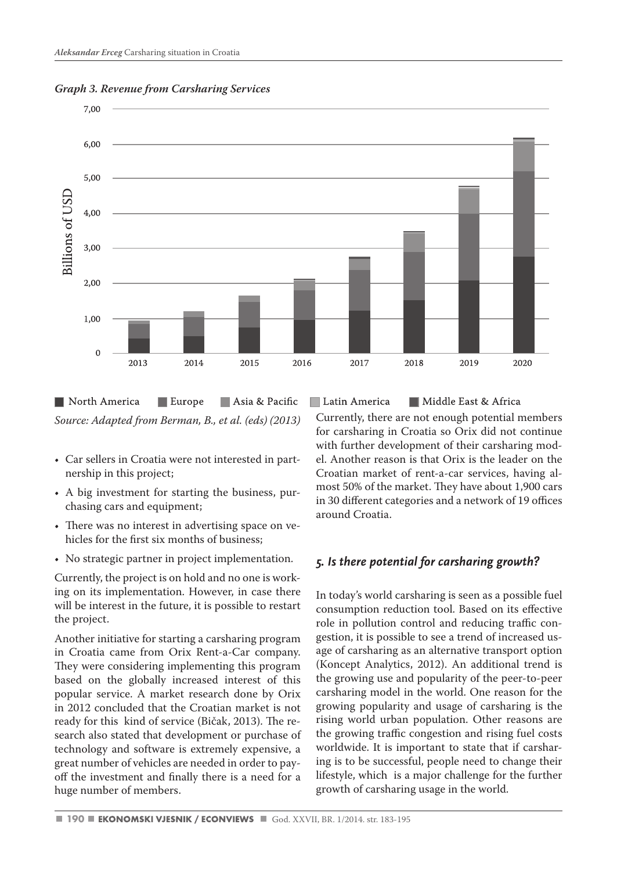

*Graph 3. Revenue from Carsharing Services*

North America Europe Asia & Pacific *Source: Adapted from Berman, B., et al. (eds) (2013)* 

- Car sellers in Croatia were not interested in partnership in this project;
- A big investment for starting the business, purchasing cars and equipment;
- There was no interest in advertising space on vehicles for the first six months of business;
- No strategic partner in project implementation.

Currently, the project is on hold and no one is working on its implementation. However, in case there will be interest in the future, it is possible to restart the project.

Another initiative for starting a carsharing program in Croatia came from Orix Rent-a-Car company. They were considering implementing this program based on the globally increased interest of this popular service. A market research done by Orix in 2012 concluded that the Croatian market is not ready for this kind of service (Bičak, 2013). The research also stated that development or purchase of technology and software is extremely expensive, a great number of vehicles are needed in order to payoff the investment and finally there is a need for a huge number of members.

Latin America Middle East & Africa Currently, there are not enough potential members for carsharing in Croatia so Orix did not continue with further development of their carsharing model. Another reason is that Orix is the leader on the Croatian market of rent-a-car services, having almost 50% of the market. They have about 1,900 cars in 30 different categories and a network of 19 offices around Croatia.

#### *5. Is there potential for carsharing growth?*

In today's world carsharing is seen as a possible fuel consumption reduction tool. Based on its effective role in pollution control and reducing traffic congestion, it is possible to see a trend of increased usage of carsharing as an alternative transport option (Koncept Analytics, 2012). An additional trend is the growing use and popularity of the peer-to-peer carsharing model in the world. One reason for the growing popularity and usage of carsharing is the rising world urban population. Other reasons are the growing traffic congestion and rising fuel costs worldwide. It is important to state that if carsharing is to be successful, people need to change their lifestyle, which is a major challenge for the further growth of carsharing usage in the world.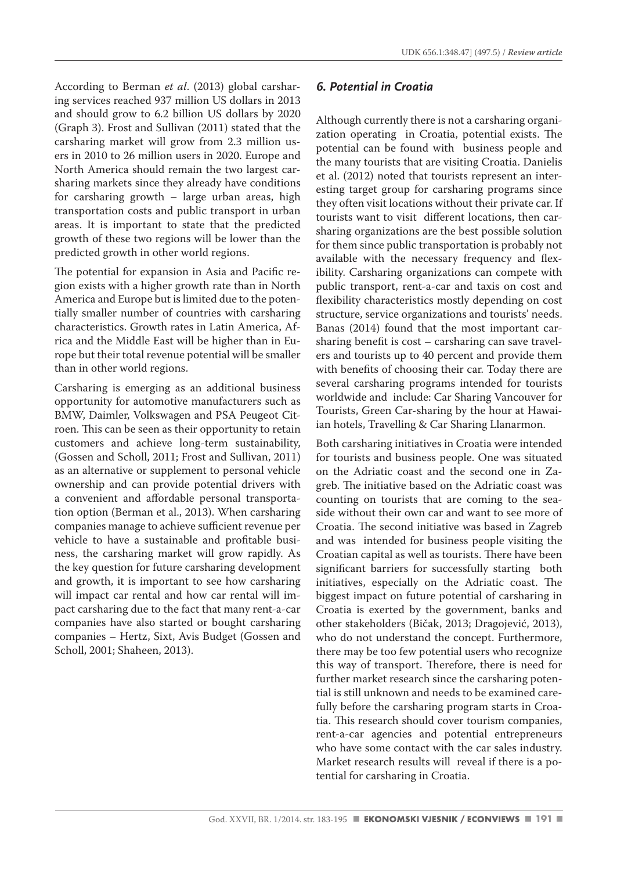According to Berman *et al*. (2013) global carsharing services reached 937 million US dollars in 2013 and should grow to 6.2 billion US dollars by 2020 (Graph 3). Frost and Sullivan (2011) stated that the carsharing market will grow from 2.3 million users in 2010 to 26 million users in 2020. Europe and North America should remain the two largest carsharing markets since they already have conditions for carsharing growth – large urban areas, high transportation costs and public transport in urban areas. It is important to state that the predicted growth of these two regions will be lower than the predicted growth in other world regions.

The potential for expansion in Asia and Pacific region exists with a higher growth rate than in North America and Europe but is limited due to the potentially smaller number of countries with carsharing characteristics. Growth rates in Latin America, Africa and the Middle East will be higher than in Europe but their total revenue potential will be smaller than in other world regions.

Carsharing is emerging as an additional business opportunity for automotive manufacturers such as BMW, Daimler, Volkswagen and PSA Peugeot Citroen. This can be seen as their opportunity to retain customers and achieve long-term sustainability, (Gossen and Scholl, 2011; Frost and Sullivan, 2011) as an alternative or supplement to personal vehicle ownership and can provide potential drivers with a convenient and affordable personal transportation option (Berman et al., 2013). When carsharing companies manage to achieve sufficient revenue per vehicle to have a sustainable and profitable business, the carsharing market will grow rapidly. As the key question for future carsharing development and growth, it is important to see how carsharing will impact car rental and how car rental will impact carsharing due to the fact that many rent-a-car companies have also started or bought carsharing companies – Hertz, Sixt, Avis Budget (Gossen and Scholl, 2001; Shaheen, 2013).

#### *6. Potential in Croatia*

Although currently there is not a carsharing organization operating in Croatia, potential exists. The potential can be found with business people and the many tourists that are visiting Croatia. Danielis et al. (2012) noted that tourists represent an interesting target group for carsharing programs since they often visit locations without their private car. If tourists want to visit different locations, then carsharing organizations are the best possible solution for them since public transportation is probably not available with the necessary frequency and flexibility. Carsharing organizations can compete with public transport, rent-a-car and taxis on cost and flexibility characteristics mostly depending on cost structure, service organizations and tourists' needs. Banas (2014) found that the most important carsharing benefit is cost – carsharing can save travelers and tourists up to 40 percent and provide them with benefits of choosing their car. Today there are several carsharing programs intended for tourists worldwide and include: Car Sharing Vancouver for Tourists, Green Car-sharing by the hour at Hawaiian hotels, Travelling & Car Sharing Llanarmon.

Both carsharing initiatives in Croatia were intended for tourists and business people. One was situated on the Adriatic coast and the second one in Zagreb. The initiative based on the Adriatic coast was counting on tourists that are coming to the seaside without their own car and want to see more of Croatia. The second initiative was based in Zagreb and was intended for business people visiting the Croatian capital as well as tourists. There have been significant barriers for successfully starting both initiatives, especially on the Adriatic coast. The biggest impact on future potential of carsharing in Croatia is exerted by the government, banks and other stakeholders (Bičak, 2013; Dragojević, 2013), who do not understand the concept. Furthermore, there may be too few potential users who recognize this way of transport. Therefore, there is need for further market research since the carsharing potential is still unknown and needs to be examined carefully before the carsharing program starts in Croatia. This research should cover tourism companies, rent-a-car agencies and potential entrepreneurs who have some contact with the car sales industry. Market research results will reveal if there is a potential for carsharing in Croatia.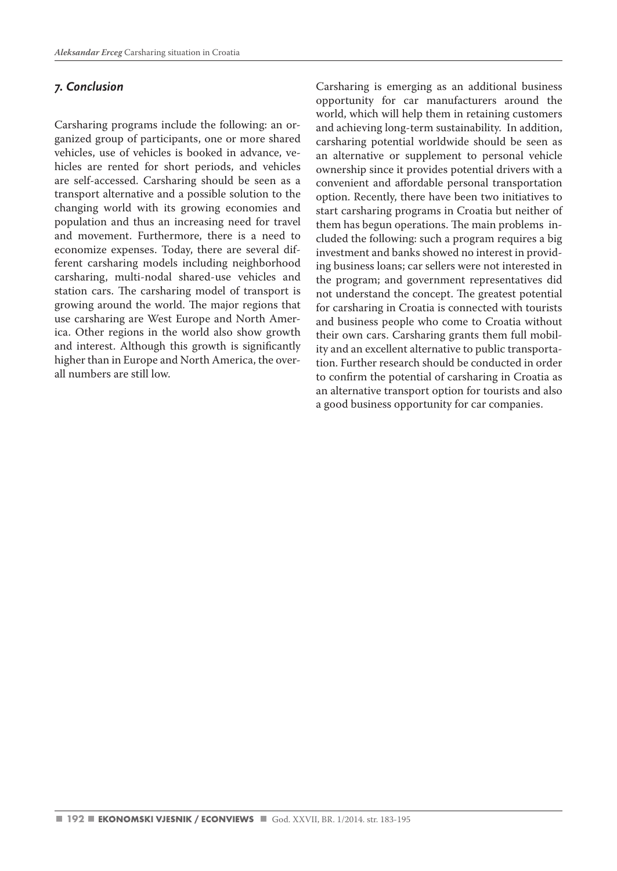#### *7. Conclusion*

Carsharing programs include the following: an organized group of participants, one or more shared vehicles, use of vehicles is booked in advance, vehicles are rented for short periods, and vehicles are self-accessed. Carsharing should be seen as a transport alternative and a possible solution to the changing world with its growing economies and population and thus an increasing need for travel and movement. Furthermore, there is a need to economize expenses. Today, there are several different carsharing models including neighborhood carsharing, multi-nodal shared-use vehicles and station cars. The carsharing model of transport is growing around the world. The major regions that use carsharing are West Europe and North America. Other regions in the world also show growth and interest. Although this growth is significantly higher than in Europe and North America, the overall numbers are still low.

Carsharing is emerging as an additional business opportunity for car manufacturers around the world, which will help them in retaining customers and achieving long-term sustainability. In addition, carsharing potential worldwide should be seen as an alternative or supplement to personal vehicle ownership since it provides potential drivers with a convenient and affordable personal transportation option. Recently, there have been two initiatives to start carsharing programs in Croatia but neither of them has begun operations. The main problems included the following: such a program requires a big investment and banks showed no interest in providing business loans; car sellers were not interested in the program; and government representatives did not understand the concept. The greatest potential for carsharing in Croatia is connected with tourists and business people who come to Croatia without their own cars. Carsharing grants them full mobility and an excellent alternative to public transportation. Further research should be conducted in order to confirm the potential of carsharing in Croatia as an alternative transport option for tourists and also a good business opportunity for car companies.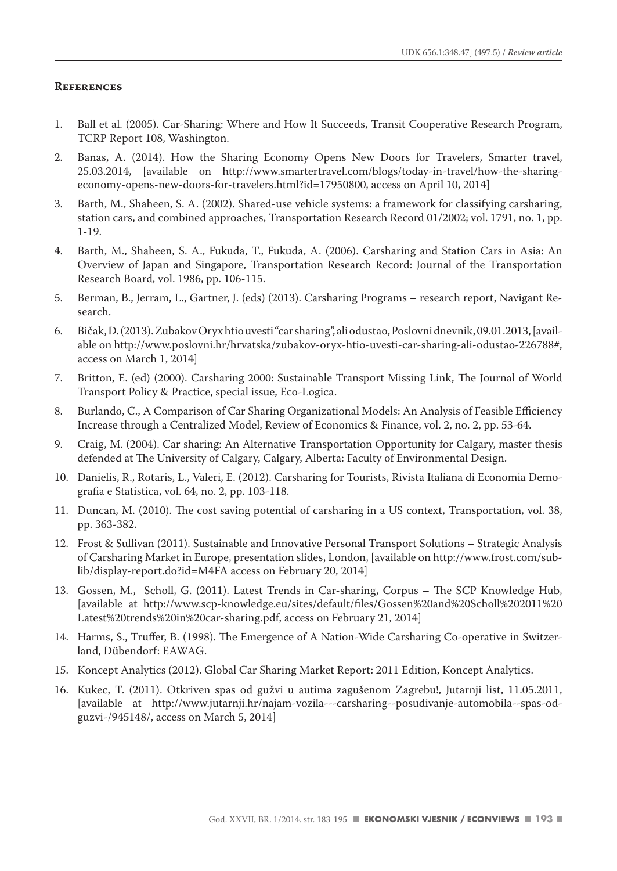#### **References**

- 1. Ball et al. (2005). Car-Sharing: Where and How It Succeeds, Transit Cooperative Research Program, TCRP Report 108, Washington.
- 2. Banas, A. (2014). How the Sharing Economy Opens New Doors for Travelers, Smarter travel, 25.03.2014, [available on http://www.smartertravel.com/blogs/today-in-travel/how-the-sharingeconomy-opens-new-doors-for-travelers.html?id=17950800, access on April 10, 2014]
- 3. Barth, M., Shaheen, S. A. (2002). Shared-use vehicle systems: a framework for classifying carsharing, station cars, and combined approaches, Transportation Research Record 01/2002; vol. 1791, no. 1, pp. 1-19.
- 4. Barth, M., Shaheen, S. A., Fukuda, T., Fukuda, A. (2006). Carsharing and Station Cars in Asia: An Overview of Japan and Singapore, Transportation Research Record: Journal of the Transportation Research Board, vol. 1986, pp. 106-115.
- 5. Berman, B., Jerram, L., Gartner, J. (eds) (2013). Carsharing Programs research report, Navigant Research.
- 6. Bičak, D. (2013). Zubakov Oryx htio uvesti "car sharing", ali odustao, Poslovni dnevnik, 09.01.2013, [available on http://www.poslovni.hr/hrvatska/zubakov-oryx-htio-uvesti-car-sharing-ali-odustao-226788#, access on March 1, 2014]
- 7. Britton, E. (ed) (2000). Carsharing 2000: Sustainable Transport Missing Link, The Journal of World Transport Policy & Practice, special issue, Eco-Logica.
- 8. Burlando, C., A Comparison of Car Sharing Organizational Models: An Analysis of Feasible Efficiency Increase through a Centralized Model, Review of Economics & Finance, vol. 2, no. 2, pp. 53-64.
- 9. Craig, M. (2004). Car sharing: An Alternative Transportation Opportunity for Calgary, master thesis defended at The University of Calgary, Calgary, Alberta: Faculty of Environmental Design.
- 10. Danielis, R., Rotaris, L., Valeri, E. (2012). Carsharing for Tourists, Rivista Italiana di Economia Demografia e Statistica, vol. 64, no. 2, pp. 103-118.
- 11. Duncan, M. (2010). The cost saving potential of carsharing in a US context, Transportation, vol. 38, pp. 363-382.
- 12. Frost & Sullivan (2011). Sustainable and Innovative Personal Transport Solutions Strategic Analysis of Carsharing Market in Europe, presentation slides, London, [available on http://www.frost.com/sublib/display-report.do?id=M4FA access on February 20, 2014]
- 13. Gossen, M., Scholl, G. (2011). Latest Trends in Car-sharing, Corpus The SCP Knowledge Hub, [available at http://www.scp-knowledge.eu/sites/default/files/Gossen%20and%20Scholl%202011%20 Latest%20trends%20in%20car-sharing.pdf, access on February 21, 2014]
- 14. Harms, S., Truffer, B. (1998). The Emergence of A Nation-Wide Carsharing Co-operative in Switzerland, Dübendorf: EAWAG.
- 15. Koncept Analytics (2012). Global Car Sharing Market Report: 2011 Edition, Koncept Analytics.
- 16. Kukec, T. (2011). Otkriven spas od gužvi u autima zagušenom Zagrebu!, Jutarnji list, 11.05.2011, [available at http://www.jutarnji.hr/najam-vozila---carsharing--posudivanje-automobila--spas-odguzvi-/945148/, access on March 5, 2014]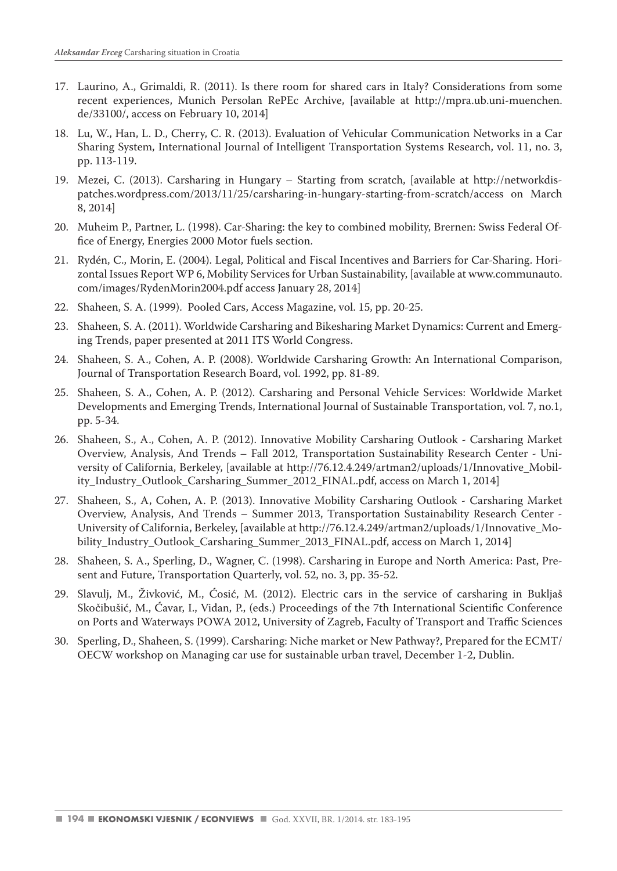- 17. Laurino, A., Grimaldi, R. (2011). Is there room for shared cars in Italy? Considerations from some recent experiences, Munich Persolan RePEc Archive, [available at http://mpra.ub.uni-muenchen. de/33100/, access on February 10, 2014]
- 18. Lu, W., Han, L. D., Cherry, C. R. (2013). Evaluation of Vehicular Communication Networks in a Car Sharing System, International Journal of Intelligent Transportation Systems Research, vol. 11, no. 3, pp. 113-119.
- 19. Mezei, C. (2013). Carsharing in Hungary Starting from scratch, [available at http://networkdispatches.wordpress.com/2013/11/25/carsharing-in-hungary-starting-from-scratch/access on March 8, 2014]
- 20. Muheim P., Partner, L. (1998). Car-Sharing: the key to combined mobility, Brernen: Swiss Federal Office of Energy, Energies 2000 Motor fuels section.
- 21. Rydén, C., Morin, E. (2004). Legal, Political and Fiscal Incentives and Barriers for Car-Sharing. Horizontal Issues Report WP 6, Mobility Services for Urban Sustainability, [available at www.communauto. com/images/RydenMorin2004.pdf access January 28, 2014]
- 22. Shaheen, S. A. (1999). Pooled Cars, Access Magazine, vol. 15, pp. 20-25.
- 23. Shaheen, S. A. (2011). Worldwide Carsharing and Bikesharing Market Dynamics: Current and Emerging Trends, paper presented at 2011 ITS World Congress.
- 24. Shaheen, S. A., Cohen, A. P. (2008). Worldwide Carsharing Growth: An International Comparison, Journal of Transportation Research Board, vol. 1992, pp. 81-89.
- 25. Shaheen, S. A., Cohen, A. P. (2012). Carsharing and Personal Vehicle Services: Worldwide Market Developments and Emerging Trends, International Journal of Sustainable Transportation, vol. 7, no.1, pp. 5-34.
- 26. Shaheen, S., A., Cohen, A. P. (2012). Innovative Mobility Carsharing Outlook Carsharing Market Overview, Analysis, And Trends – Fall 2012, Transportation Sustainability Research Center - University of California, Berkeley, [available at http://76.12.4.249/artman2/uploads/1/Innovative\_Mobility\_Industry\_Outlook\_Carsharing\_Summer\_2012\_FINAL.pdf, access on March 1, 2014]
- 27. Shaheen, S., A, Cohen, A. P. (2013). Innovative Mobility Carsharing Outlook Carsharing Market Overview, Analysis, And Trends – Summer 2013, Transportation Sustainability Research Center - University of California, Berkeley, [available at http://76.12.4.249/artman2/uploads/1/Innovative\_Mobility Industry Outlook Carsharing Summer 2013 FINAL.pdf, access on March 1, 2014]
- 28. Shaheen, S. A., Sperling, D., Wagner, C. (1998). Carsharing in Europe and North America: Past, Present and Future, Transportation Quarterly, vol. 52, no. 3, pp. 35-52.
- 29. Slavulj, M., Živković, M., Ćosić, M. (2012). Electric cars in the service of carsharing in Bukljaš Skočibušić, M., Ćavar, I., Vidan, P., (eds.) Proceedings of the 7th International Scientific Conference on Ports and Waterways POWA 2012, University of Zagreb, Faculty of Transport and Traffic Sciences
- 30. Sperling, D., Shaheen, S. (1999). Carsharing: Niche market or New Pathway?, Prepared for the ECMT/ OECW workshop on Managing car use for sustainable urban travel, December 1-2, Dublin.